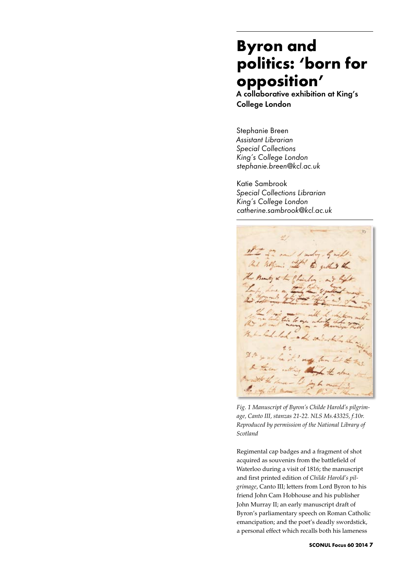# **Byron and politics: 'born for opposition'**

A collaborative exhibition at King's College London

Stephanie Breen *Assistant Librarian Special Collections King's College London stephanie.breen@kcl.ac.uk*

Katie Sambrook *Special Collections Librarian King's College London catherine.sambrook@kcl.ac.uk*



*Fig. 1 Manuscript of Byron's Childe Harold's pilgrimage, Canto III, stanzas 21-22. NLS Ms.43325, f.10r. Reproduced by permission of the National Library of Scotland*

Regimental cap badges and a fragment of shot acquired as souvenirs from the battlefield of Waterloo during a visit of 1816; the manuscript and first printed edition of *Childe Harold's pilgrimage*, Canto III; letters from Lord Byron to his friend John Cam Hobhouse and his publisher John Murray II; an early manuscript draft of Byron's parliamentary speech on Roman Catholic emancipation; and the poet's deadly swordstick, a personal effect which recalls both his lameness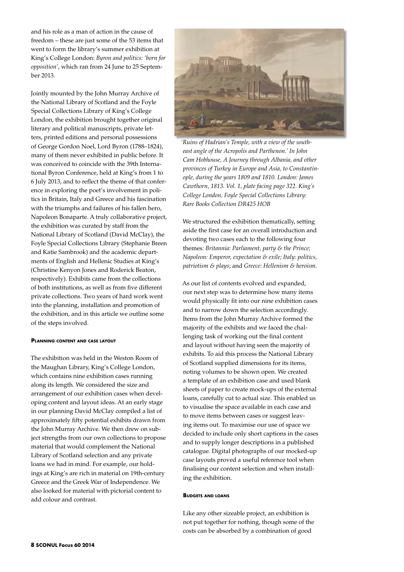and his role as a man of action in the cause of freedom – these are just some of the 53 items that went to form the library's summer exhibition at King's College London: *Byron and politics: 'born for opposition'*, which ran from 24 June to 25 September 2013.

Jointly mounted by the John Murray Archive of the National Library of Scotland and the Foyle Special Collections Library of King's College London, the exhibition brought together original literary and political manuscripts, private letters, printed editions and personal possessions of George Gordon Noel, Lord Byron (1788–1824), many of them never exhibited in public before. It was conceived to coincide with the 39th International Byron Conference, held at King's from 1 to 6 July 2013, and to reflect the theme of that conference in exploring the poet's involvement in politics in Britain, Italy and Greece and his fascination with the triumphs and failures of his fallen hero, Napoleon Bonaparte. A truly collaborative project, the exhibition was curated by staff from the National Library of Scotland (David McClay), the Foyle Special Collections Library (Stephanie Breen and Katie Sambrook) and the academic departments of English and Hellenic Studies at King's (Christine Kenyon Jones and Roderick Beaton, respectively). Exhibits came from the collections of both institutions, as well as from five different private collections. Two years of hard work went into the planning, installation and promotion of the exhibition, and in this article we outline some of the steps involved.

### **Planning content and case layout**

The exhibition was held in the Weston Room of the Maughan Library, King's College London, which contains nine exhibition cases running along its length. We considered the size and arrangement of our exhibition cases when developing content and layout ideas. At an early stage in our planning David McClay compiled a list of approximately fifty potential exhibits drawn from the John Murray Archive. We then drew on subject strengths from our own collections to propose material that would complement the National Library of Scotland selection and any private loans we had in mind. For example, our holdings at King's are rich in material on 19th-century Greece and the Greek War of Independence. We also looked for material with pictorial content to add colour and contrast.



*'Ruins of Hadrian's Temple, with a view of the southeast angle of the Acropolis and Parthenon.' In John Cam Hobhouse, A Journey through Albania, and other provinces of Turkey in Europe and Asia, to Constantinople, during the years 1809 and 1810. London: James Cawthorn, 1813. Vol. 1, plate facing page 322. King's College London, Foyle Special Collections Library: Rare Books Collection DR425 HOB*

We structured the exhibition thematically, setting aside the first case for an overall introduction and devoting two cases each to the following four themes: *Britannia: Parliament, party & the Prince; Napoleon: Emperor, expectation & exile; Italy: politics, patriotism & plays*; and *Greece: Hellenism & heroism*.

As our list of contents evolved and expanded, our next step was to determine how many items would physically fit into our nine exhibition cases and to narrow down the selection accordingly. Items from the John Murray Archive formed the majority of the exhibits and we faced the challenging task of working out the final content and layout without having seen the majority of exhibits. To aid this process the National Library of Scotland supplied dimensions for its items, noting volumes to be shown open. We created a template of an exhibition case and used blank sheets of paper to create mock-ups of the external loans, carefully cut to actual size. This enabled us to visualise the space available in each case and to move items between cases or suggest leaving items out. To maximise our use of space we decided to include only short captions in the cases and to supply longer descriptions in a published catalogue. Digital photographs of our mocked-up case layouts proved a useful reference tool when finalising our content selection and when installing the exhibition.

#### **Budgets and loans**

Like any other sizeable project, an exhibition is not put together for nothing, though some of the costs can be absorbed by a combination of good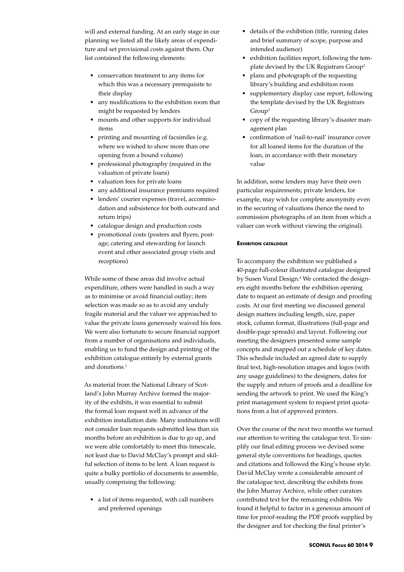will and external funding. At an early stage in our planning we listed all the likely areas of expenditure and set provisional costs against them. Our list contained the following elements:

- • conservation treatment to any items for which this was a necessary prerequisite to their display
- any modifications to the exhibition room that might be requested by lenders
- mounts and other supports for individual items
- printing and mounting of facsimiles (e.g. where we wished to show more than one opening from a bound volume)
- professional photography (required in the valuation of private loans)
- • valuation fees for private loans
- any additional insurance premiums required
- lenders' courier expenses (travel, accommodation and subsistence for both outward and return trips)
- • catalogue design and production costs
- promotional costs (posters and flyers; postage; catering and stewarding for launch event and other associated group visits and receptions)

While some of these areas did involve actual expenditure, others were handled in such a way as to minimise or avoid financial outlay; item selection was made so as to avoid any unduly fragile material and the valuer we approached to value the private loans generously waived his fees. We were also fortunate to secure financial support from a number of organisations and individuals, enabling us to fund the design and printing of the exhibition catalogue entirely by external grants and donations.1

As material from the National Library of Scotland's John Murray Archive formed the majority of the exhibits, it was essential to submit the formal loan request well in advance of the exhibition installation date. Many institutions will not consider loan requests submitted less than six months before an exhibition is due to go up, and we were able comfortably to meet this timescale, not least due to David McClay's prompt and skilful selection of items to be lent. A loan request is quite a bulky portfolio of documents to assemble, usually comprising the following:

• a list of items requested, with call numbers and preferred openings

- • details of the exhibition (title, running dates and brief summary of scope, purpose and intended audience)
- • exhibition facilities report, following the template devised by the UK Registrars Group2
- plans and photograph of the requesting library's building and exhibition room
- supplementary display case report, following the template devised by the UK Registrars Group3
- copy of the requesting library's disaster management plan
- confirmation of 'nail-to-nail' insurance cover for all loaned items for the duration of the loan, in accordance with their monetary value

In addition, some lenders may have their own particular requirements; private lenders, for example, may wish for complete anonymity even in the securing of valuations (hence the need to commission photographs of an item from which a valuer can work without viewing the original).

#### **Exhibition catalogue**

To accompany the exhibition we published a 40-page full-colour illustrated catalogue designed by Susen Vural Design.<sup>4</sup> We contacted the designers eight months before the exhibition opening date to request an estimate of design and proofing costs. At our first meeting we discussed general design matters including length, size, paper stock, column format, illustrations (full-page and double-page spreads) and layout. Following our meeting the designers presented some sample concepts and mapped out a schedule of key dates. This schedule included an agreed date to supply final text, high-resolution images and logos (with any usage guidelines) to the designers, dates for the supply and return of proofs and a deadline for sending the artwork to print. We used the King's print management system to request print quotations from a list of approved printers.

Over the course of the next two months we turned our attention to writing the catalogue text. To simplify our final editing process we devised some general style conventions for headings, quotes and citations and followed the King's house style. David McClay wrote a considerable amount of the catalogue text, describing the exhibits from the John Murray Archive, while other curators contributed text for the remaining exhibits. We found it helpful to factor in a generous amount of time for proof-reading the PDF proofs supplied by the designer and for checking the final printer's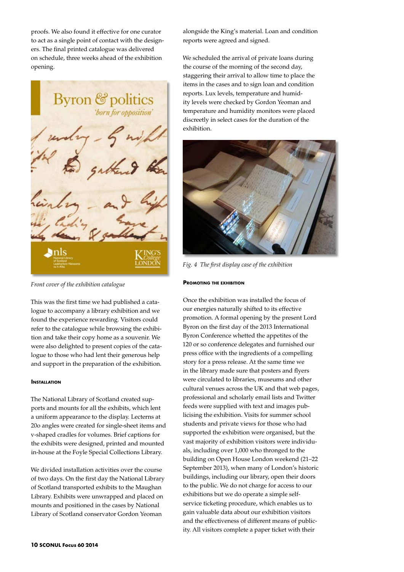proofs. We also found it effective for one curator to act as a single point of contact with the designers. The final printed catalogue was delivered on schedule, three weeks ahead of the exhibition opening.



*Front cover of the exhibition catalogue*

This was the first time we had published a catalogue to accompany a library exhibition and we found the experience rewarding. Visitors could refer to the catalogue while browsing the exhibition and take their copy home as a souvenir. We were also delighted to present copies of the catalogue to those who had lent their generous help and support in the preparation of the exhibition.

### **Installation**

The National Library of Scotland created supports and mounts for all the exhibits, which lent a uniform appearance to the display. Lecterns at 20o angles were created for single-sheet items and v-shaped cradles for volumes. Brief captions for the exhibits were designed, printed and mounted in-house at the Foyle Special Collections Library.

We divided installation activities over the course of two days. On the first day the National Library of Scotland transported exhibits to the Maughan Library. Exhibits were unwrapped and placed on mounts and positioned in the cases by National Library of Scotland conservator Gordon Yeoman

alongside the King's material. Loan and condition reports were agreed and signed.

We scheduled the arrival of private loans during the course of the morning of the second day, staggering their arrival to allow time to place the items in the cases and to sign loan and condition reports. Lux levels, temperature and humidity levels were checked by Gordon Yeoman and temperature and humidity monitors were placed discreetly in select cases for the duration of the exhibition.



*Fig. 4 The first display case of the exhibition*

#### **Promoting the exhibition**

Once the exhibition was installed the focus of our energies naturally shifted to its effective promotion. A formal opening by the present Lord Byron on the first day of the 2013 International Byron Conference whetted the appetites of the 120 or so conference delegates and furnished our press office with the ingredients of a compelling story for a press release. At the same time we in the library made sure that posters and flyers were circulated to libraries, museums and other cultural venues across the UK and that web pages, professional and scholarly email lists and Twitter feeds were supplied with text and images publicising the exhibition. Visits for summer school students and private views for those who had supported the exhibition were organised, but the vast majority of exhibition visitors were individuals, including over 1,000 who thronged to the building on Open House London weekend (21–22 September 2013), when many of London's historic buildings, including our library, open their doors to the public. We do not charge for access to our exhibitions but we do operate a simple selfservice ticketing procedure, which enables us to gain valuable data about our exhibition visitors and the effectiveness of different means of publicity. All visitors complete a paper ticket with their